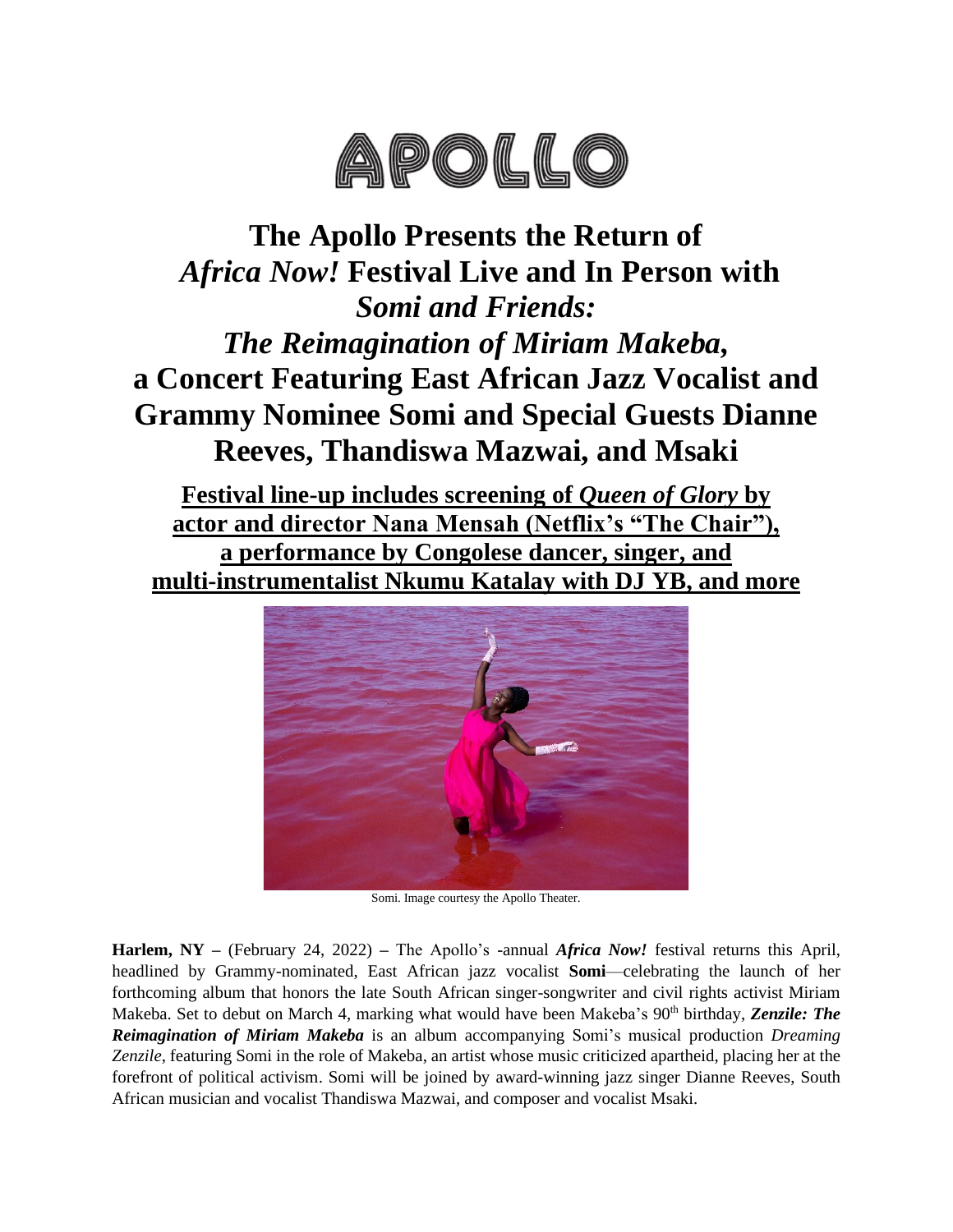

# **The Apollo Presents the Return of** *Africa Now!* **Festival Live and In Person with** *Somi and Friends: The Reimagination of Miriam Makeba,* **a Concert Featuring East African Jazz Vocalist and Grammy Nominee Somi and Special Guests Dianne Reeves, Thandiswa Mazwai, and Msaki**

**Festival line-up includes screening of** *Queen of Glory* **by actor and director Nana Mensah (Netflix's "The Chair"), a performance by Congolese dancer, singer, and multi-instrumentalist Nkumu Katalay with DJ YB, and more**



Somi. Image courtesy the Apollo Theater.

**Harlem, NY –** (February 24, 2022) **–** The Apollo's -annual *Africa Now!* festival returns this April, headlined by Grammy-nominated, East African jazz vocalist **Somi**—celebrating the launch of her forthcoming album that honors the late South African singer-songwriter and civil rights activist Miriam Makeba. Set to debut on March 4, marking what would have been Makeba's 90<sup>th</sup> birthday, *Zenzile: The Reimagination of Miriam Makeba* is an album accompanying Somi's musical production *Dreaming Zenzile*, featuring Somi in the role of Makeba, an artist whose music criticized apartheid, placing her at the forefront of political activism. Somi will be joined by award-winning jazz singer Dianne Reeves, South African musician and vocalist Thandiswa Mazwai, and composer and vocalist Msaki.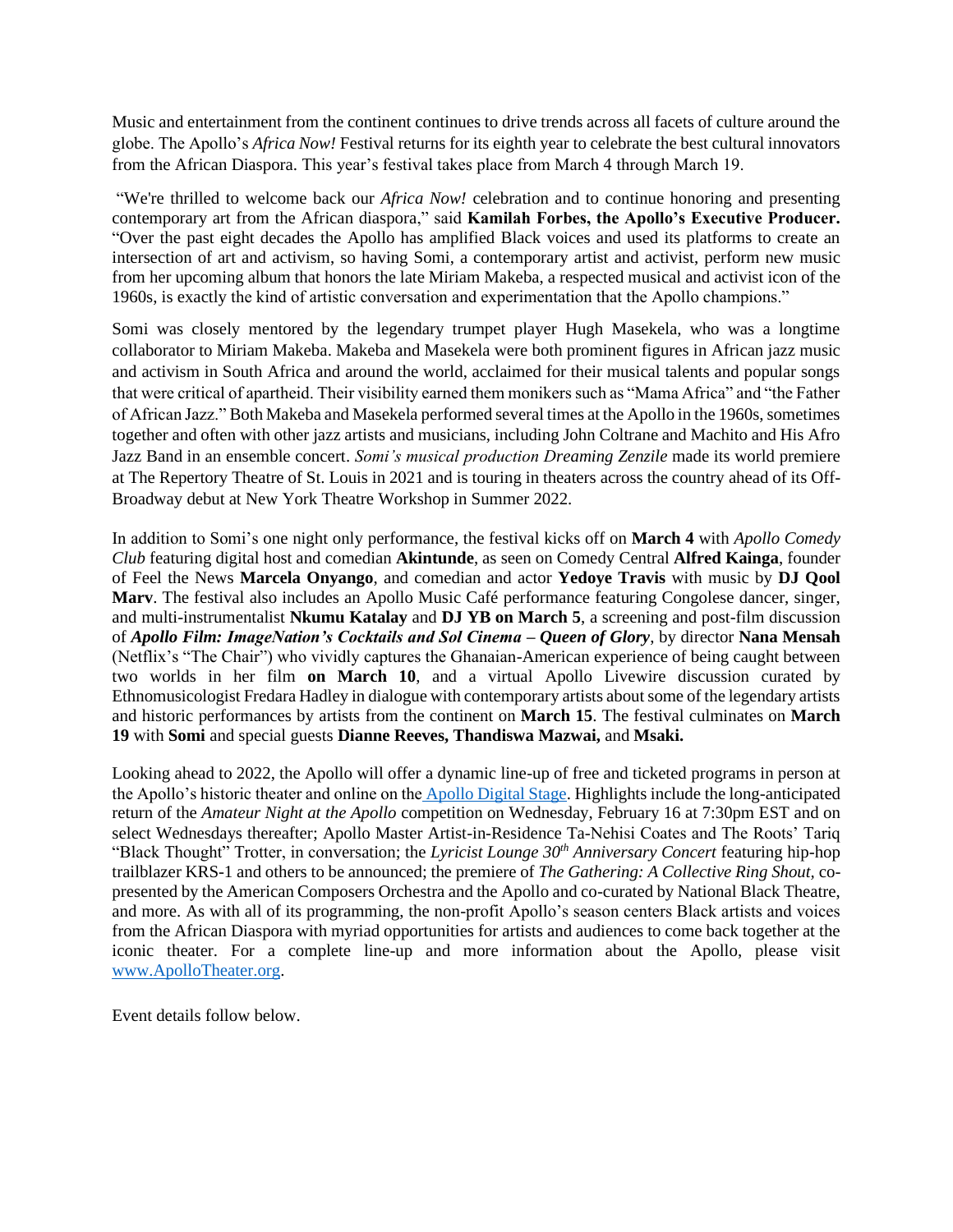Music and entertainment from the continent continues to drive trends across all facets of culture around the globe. The Apollo's *Africa Now!* Festival returns for its eighth year to celebrate the best cultural innovators from the African Diaspora. This year's festival takes place from March 4 through March 19.

"We're thrilled to welcome back our *Africa Now!* celebration and to continue honoring and presenting contemporary art from the African diaspora," said **Kamilah Forbes, the Apollo's Executive Producer.** "Over the past eight decades the Apollo has amplified Black voices and used its platforms to create an intersection of art and activism, so having Somi, a contemporary artist and activist, perform new music from her upcoming album that honors the late Miriam Makeba, a respected musical and activist icon of the 1960s, is exactly the kind of artistic conversation and experimentation that the Apollo champions."

Somi was closely mentored by the legendary trumpet player Hugh Masekela, who was a longtime collaborator to Miriam Makeba. Makeba and Masekela were both prominent figures in African jazz music and activism in South Africa and around the world, acclaimed for their musical talents and popular songs that were critical of apartheid. Their visibility earned them monikers such as "Mama Africa" and "the Father of African Jazz." Both Makeba and Masekela performed several times at the Apollo in the 1960s, sometimes together and often with other jazz artists and musicians, including John Coltrane and Machito and His Afro Jazz Band in an ensemble concert. *Somi's musical production Dreaming Zenzile* made its world premiere at The Repertory Theatre of St. Louis in 2021 and is touring in theaters across the country ahead of its Off-Broadway debut at New York Theatre Workshop in Summer 2022.

In addition to Somi's one night only performance, the festival kicks off on **March 4** with *Apollo Comedy Club* featuring digital host and comedian **Akintunde**, as seen on Comedy Central **Alfred Kainga**, founder of Feel the News **Marcela Onyango**, and comedian and actor **Yedoye Travis** with music by **DJ Qool Marv**. The festival also includes an Apollo Music Café performance featuring Congolese dancer, singer, and multi-instrumentalist **Nkumu Katalay** and **DJ YB on March 5**, a screening and post-film discussion of *Apollo Film: ImageNation's Cocktails and Sol Cinema – Queen of Glory*, by director **Nana Mensah** (Netflix's "The Chair") who vividly captures the Ghanaian-American experience of being caught between two worlds in her film **on March 10**, and a virtual Apollo Livewire discussion curated by Ethnomusicologist Fredara Hadley in dialogue with contemporary artists about some of the legendary artists and historic performances by artists from the continent on **March 15**. The festival culminates on **March 19** with **Somi** and special guests **Dianne Reeves, Thandiswa Mazwai,** and **Msaki.**

Looking ahead to 2022, the Apollo will offer a dynamic line-up of free and ticketed programs in person at the Apollo's historic theater and online on the [Apollo Digital Stage.](https://urldefense.com/v3/__https:/www.apollotheater.org/digitalstage/__;!!NUnUjx3wvH5xgA!fC3VieZfO5Oljp_qLK55NofqSb3T6ZHkqE0l8FJ1dBxU8mnxr_obvWoJaB5sSXd5c_juzCt_-RkogvEnpa3SW9qSCUXgSxNFvm4zkn72vw$) Highlights include the long-anticipated return of the *Amateur Night at the Apollo* competition on Wednesday, February 16 at 7:30pm EST and on select Wednesdays thereafter; Apollo Master Artist-in-Residence Ta-Nehisi Coates and The Roots' Tariq "Black Thought" Trotter, in conversation; the *Lyricist Lounge 30th Anniversary Concert* featuring hip-hop trailblazer KRS-1 and others to be announced; the premiere of *The Gathering: A Collective Ring Shout,* copresented by the American Composers Orchestra and the Apollo and co-curated by National Black Theatre, and more. As with all of its programming, the non-profit Apollo's season centers Black artists and voices from the African Diaspora with myriad opportunities for artists and audiences to come back together at the iconic theater. For a complete line-up and more information about the Apollo, please visi[t](https://urldefense.com/v3/__http:/www.apollotheater.org/__;!!NUnUjx3wvH5xgA!fC3VieZfO5Oljp_qLK55NofqSb3T6ZHkqE0l8FJ1dBxU8mnxr_obvWoJaB5sSXd5c_juzCt_-RkogvEnpa3SW9qSCUXgSxNFvm4t5IAavg$) [www.ApolloTheater.org.](https://urldefense.com/v3/__http:/www.apollotheater.org/__;!!NUnUjx3wvH5xgA!fC3VieZfO5Oljp_qLK55NofqSb3T6ZHkqE0l8FJ1dBxU8mnxr_obvWoJaB5sSXd5c_juzCt_-RkogvEnpa3SW9qSCUXgSxNFvm4t5IAavg$)

Event details follow below.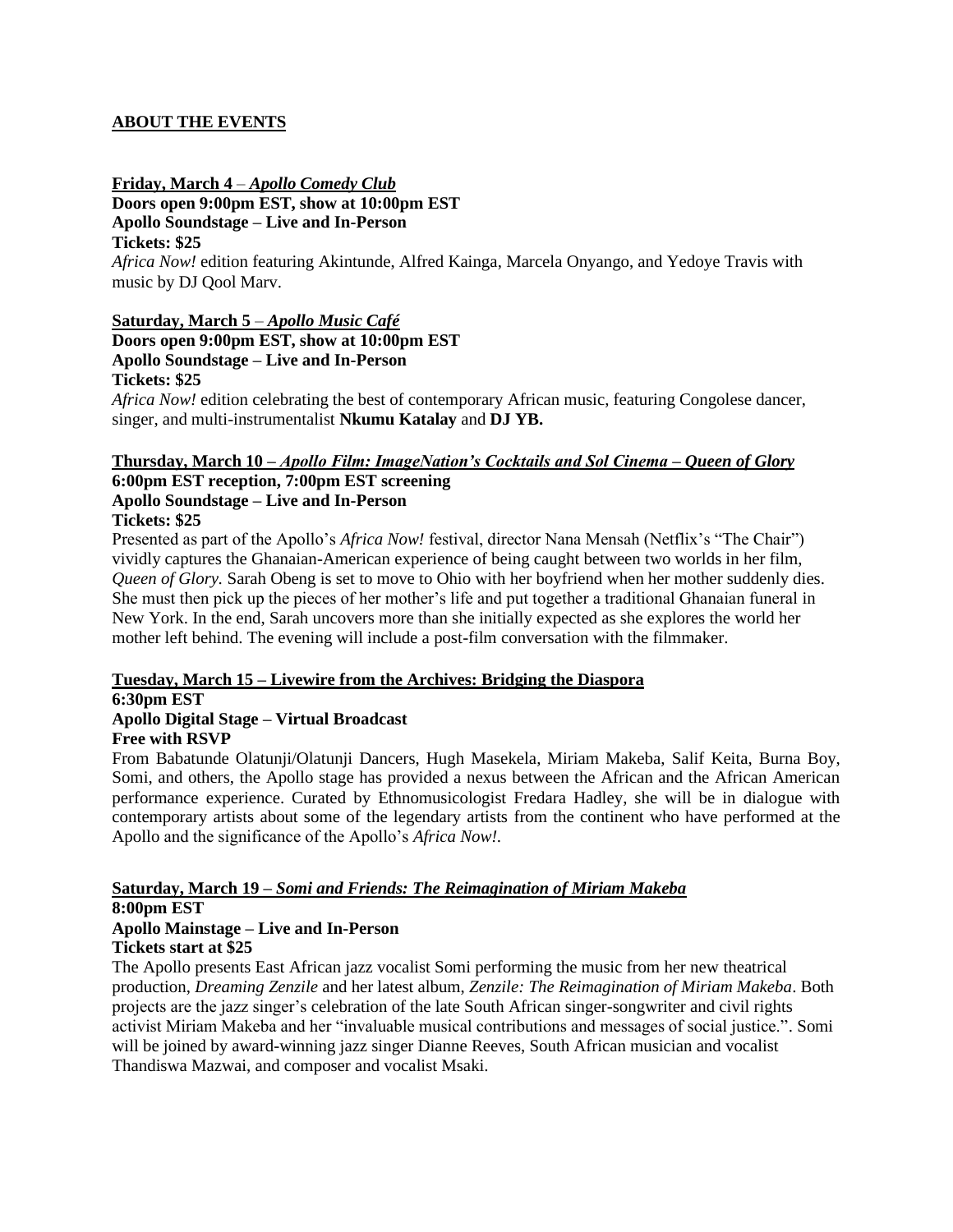#### **ABOUT THE EVENTS**

**Friday, March 4** – *Apollo Comedy Club*

**Doors open 9:00pm EST, show at 10:00pm EST**

**Apollo Soundstage – Live and In-Person**

# **Tickets: \$25**

*Africa Now!* edition featuring Akintunde, Alfred Kainga, Marcela Onyango, and Yedoye Travis with music by DJ Qool Marv.

# **Saturday, March 5** – *Apollo Music Café*

**Doors open 9:00pm EST, show at 10:00pm EST Apollo Soundstage – Live and In-Person Tickets: \$25**

*Africa Now!* edition celebrating the best of contemporary African music, featuring Congolese dancer, singer, and multi-instrumentalist **Nkumu Katalay** and **DJ YB.**

# **Thursday, March 10** *– Apollo Film: ImageNation's Cocktails and Sol Cinema – Queen of Glory*

# **6:00pm EST reception, 7:00pm EST screening Apollo Soundstage – Live and In-Person**

**Tickets: \$25** 

Presented as part of the Apollo's *Africa Now!* festival, director Nana Mensah (Netflix's "The Chair") vividly captures the Ghanaian-American experience of being caught between two worlds in her film, *Queen of Glory.* Sarah Obeng is set to move to Ohio with her boyfriend when her mother suddenly dies. She must then pick up the pieces of her mother's life and put together a traditional Ghanaian funeral in New York. In the end, Sarah uncovers more than she initially expected as she explores the world her mother left behind. The evening will include a post-film conversation with the filmmaker.

# **Tuesday, March 15 – Livewire from the Archives: Bridging the Diaspora**

# **6:30pm EST**

#### **Apollo Digital Stage – Virtual Broadcast Free with RSVP**

From Babatunde Olatunji/Olatunji Dancers, Hugh Masekela, Miriam Makeba, Salif Keita, Burna Boy, Somi, and others, the Apollo stage has provided a nexus between the African and the African American performance experience. Curated by Ethnomusicologist Fredara Hadley, she will be in dialogue with contemporary artists about some of the legendary artists from the continent who have performed at the Apollo and the significance of the Apollo's *Africa Now!.*

#### **Saturday, March 19 –** *Somi and Friends: The Reimagination of Miriam Makeba* **8:00pm EST**

# **Apollo Mainstage – Live and In-Person Tickets start at \$25**

The Apollo presents East African jazz vocalist Somi performing the music from her new theatrical production, *Dreaming Zenzile* and her latest album, *Zenzile: The Reimagination of Miriam Makeba*. Both projects are the jazz singer's celebration of the late South African singer-songwriter and civil rights activist Miriam Makeba and her "invaluable musical contributions and messages of social justice.". Somi will be joined by award-winning jazz singer Dianne Reeves, South African musician and vocalist Thandiswa Mazwai, and composer and vocalist Msaki.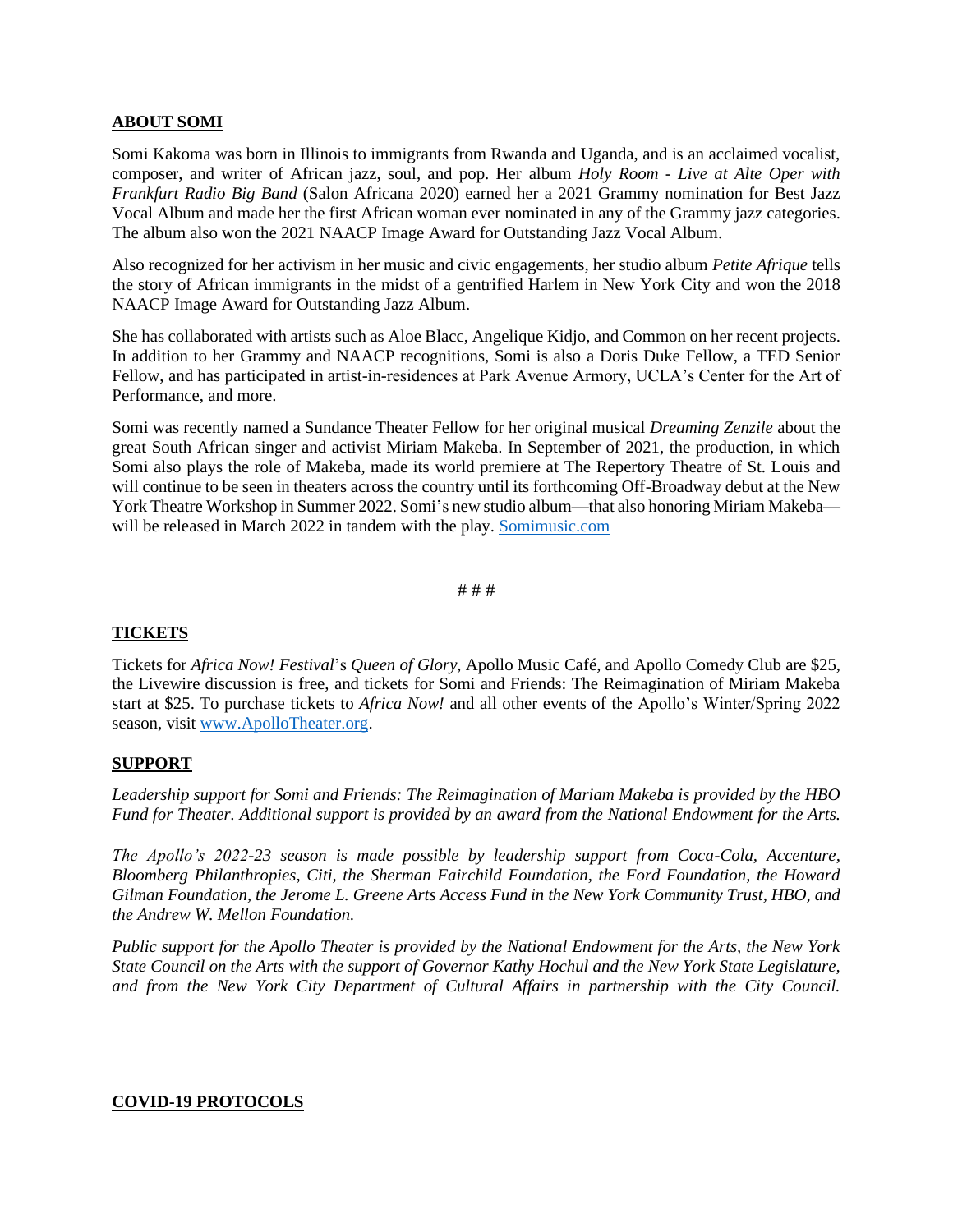#### **ABOUT SOMI**

Somi Kakoma was born in Illinois to immigrants from Rwanda and Uganda, and is an acclaimed vocalist, composer, and writer of African jazz, soul, and pop. Her album *Holy Room - Live at Alte Oper with Frankfurt Radio Big Band* (Salon Africana 2020) earned her a 2021 Grammy nomination for Best Jazz Vocal Album and made her the first African woman ever nominated in any of the Grammy jazz categories. The album also won the 2021 NAACP Image Award for Outstanding Jazz Vocal Album.

Also recognized for her activism in her music and civic engagements, her studio album *Petite Afrique* tells the story of African immigrants in the midst of a gentrified Harlem in New York City and won the 2018 NAACP Image Award for Outstanding Jazz Album.

She has collaborated with artists such as Aloe Blacc, Angelique Kidjo, and Common on her recent projects. In addition to her Grammy and NAACP recognitions, Somi is also a Doris Duke Fellow, a TED Senior Fellow, and has participated in artist-in-residences at Park Avenue Armory, UCLA's Center for the Art of Performance, and more.

Somi was recently named a Sundance Theater Fellow for her original musical *Dreaming Zenzile* about the great South African singer and activist Miriam Makeba. In September of 2021, the production, in which Somi also plays the role of Makeba, made its world premiere at The Repertory Theatre of St. Louis and will continue to be seen in theaters across the country until its forthcoming Off-Broadway debut at the New York Theatre Workshop in Summer 2022. Somi's new studio album—that also honoring Miriam Makeba— will be released in March 2022 in tandem with the play. [Somimusic.com](https://www.somimusic.com/)

## # # #

#### **TICKETS**

Tickets for *Africa Now! Festival*'s *Queen of Glory,* Apollo Music Café, and Apollo Comedy Club are \$25, the Livewire discussion is free, and tickets for Somi and Friends: The Reimagination of Miriam Makeba start at \$25. To purchase tickets to *Africa Now!* and all other events of the Apollo's Winter/Spring 2022 season, visit [www.ApolloTheater.org.](http://www.apollotheater.org/)

#### **SUPPORT**

*Leadership support for Somi and Friends: The Reimagination of Mariam Makeba is provided by the HBO Fund for Theater. Additional support is provided by an award from the National Endowment for the Arts.*

*The Apollo's 2022-23 season is made possible by leadership support from Coca-Cola, Accenture, Bloomberg Philanthropies, Citi, the Sherman Fairchild Foundation, the Ford Foundation, the Howard Gilman Foundation, the Jerome L. Greene Arts Access Fund in the New York Community Trust, HBO, and the Andrew W. Mellon Foundation.*

*Public support for the Apollo Theater is provided by the National Endowment for the Arts, the New York State Council on the Arts with the support of Governor Kathy Hochul and the New York State Legislature, and from the New York City Department of Cultural Affairs in partnership with the City Council.*

#### **COVID-19 PROTOCOLS**